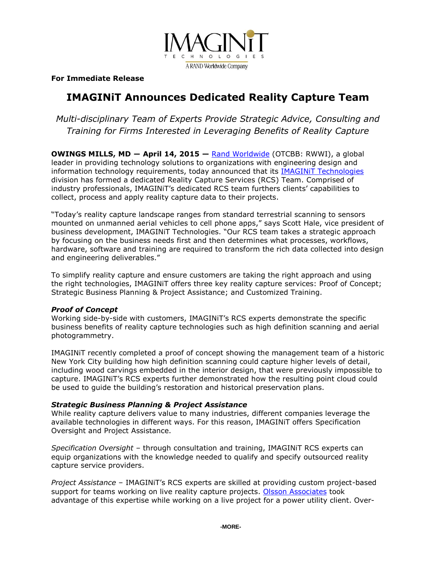

**For Immediate Release**

# **IMAGINiT Announces Dedicated Reality Capture Team**

*Multi-disciplinary Team of Experts Provide Strategic Advice, Consulting and Training for Firms Interested in Leveraging Benefits of Reality Capture* 

**OWINGS MILLS, MD ― April 14, 2015 —** [Rand Worldwide](http://www.rand.com/) (OTCBB: RWWI), a global leader in providing technology solutions to organizations with engineering design and information technology requirements, today announced that its [IMAGINiT Technologies](http://www.imaginit.com/) division has formed a dedicated Reality Capture Services (RCS) Team. Comprised of industry professionals, IMAGINiT's dedicated RCS team furthers clients' capabilities to collect, process and apply reality capture data to their projects.

"Today's reality capture landscape ranges from standard terrestrial scanning to sensors mounted on unmanned aerial vehicles to cell phone apps," says Scott Hale, vice president of business development, IMAGINiT Technologies. "Our RCS team takes a strategic approach by focusing on the business needs first and then determines what processes, workflows, hardware, software and training are required to transform the rich data collected into design and engineering deliverables."

To simplify reality capture and ensure customers are taking the right approach and using the right technologies, IMAGINiT offers three key reality capture services: Proof of Concept; Strategic Business Planning & Project Assistance; and Customized Training.

## *Proof of Concept*

Working side-by-side with customers, IMAGINiT's RCS experts demonstrate the specific business benefits of reality capture technologies such as high definition scanning and aerial photogrammetry.

IMAGINiT recently completed a proof of concept showing the management team of a historic New York City building how high definition scanning could capture higher levels of detail, including wood carvings embedded in the interior design, that were previously impossible to capture. IMAGINiT's RCS experts further demonstrated how the resulting point cloud could be used to guide the building's restoration and historical preservation plans.

## *Strategic Business Planning & Project Assistance*

While reality capture delivers value to many industries, different companies leverage the available technologies in different ways. For this reason, IMAGINiT offers Specification Oversight and Project Assistance.

*Specification Oversight* – through consultation and training, IMAGINiT RCS experts can equip organizations with the knowledge needed to qualify and specify outsourced reality capture service providers.

*Project Assistance* – IMAGINiT's RCS experts are skilled at providing custom project-based support for teams working on live reality capture projects. [Olsson Associates](http://www.imaginit.com/DesktopModules/MadDevelopment/MadDevelopment.ImaginIt.RelatedResources/OpenRelatedResource.ashx?ItemType=CaseStudies&Id=50) took advantage of this expertise while working on a live project for a power utility client. Over